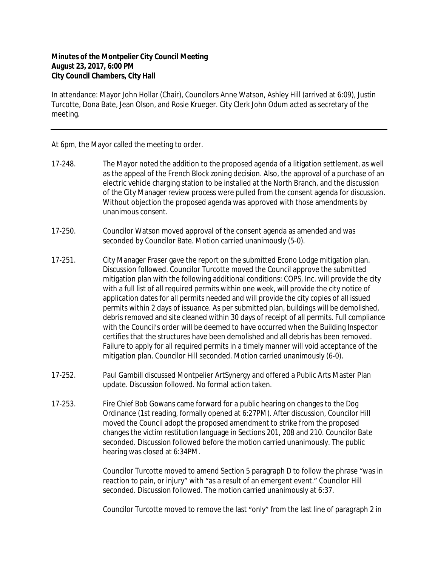## **Minutes of the Montpelier City Council Meeting August 23, 2017, 6:00 PM City Council Chambers, City Hall**

In attendance: Mayor John Hollar (Chair), Councilors Anne Watson, Ashley Hill (arrived at 6:09), Justin Turcotte, Dona Bate, Jean Olson, and Rosie Krueger. City Clerk John Odum acted as secretary of the meeting.

At 6pm, the Mayor called the meeting to order.

- 17-248. The Mayor noted the addition to the proposed agenda of a litigation settlement, as well as the appeal of the French Block zoning decision. Also, the approval of a purchase of an electric vehicle charging station to be installed at the North Branch, and the discussion of the City Manager review process were pulled from the consent agenda for discussion. Without objection the proposed agenda was approved with those amendments by unanimous consent.
- 17-250. Councilor Watson moved approval of the consent agenda as amended and was seconded by Councilor Bate. Motion carried unanimously (5-0).
- 17-251. City Manager Fraser gave the report on the submitted Econo Lodge mitigation plan. Discussion followed. Councilor Turcotte moved the Council approve the submitted mitigation plan with the following additional conditions: COPS, Inc. will provide the city with a full list of all required permits within one week, will provide the city notice of application dates for all permits needed and will provide the city copies of all issued permits within 2 days of issuance. As per submitted plan, buildings will be demolished, debris removed and site cleaned within 30 days of receipt of all permits. Full compliance with the Council's order will be deemed to have occurred when the Building Inspector certifies that the structures have been demolished and all debris has been removed. Failure to apply for all required permits in a timely manner will void acceptance of the mitigation plan. Councilor Hill seconded. Motion carried unanimously (6-0).
- 17-252. Paul Gambill discussed Montpelier ArtSynergy and offered a Public Arts Master Plan update. Discussion followed. No formal action taken.
- 17-253. Fire Chief Bob Gowans came forward for a public hearing on changes to the Dog Ordinance (1st reading, formally opened at 6:27PM). After discussion, Councilor Hill moved the Council adopt the proposed amendment to strike from the proposed changes the victim restitution language in Sections 201, 208 and 210. Councilor Bate seconded. Discussion followed before the motion carried unanimously. The public hearing was closed at 6:34PM.

Councilor Turcotte moved to amend Section 5 paragraph D to follow the phrase "was in reaction to pain, or injury" with "as a result of an emergent event." Councilor Hill seconded. Discussion followed. The motion carried unanimously at 6:37.

Councilor Turcotte moved to remove the last "only" from the last line of paragraph 2 in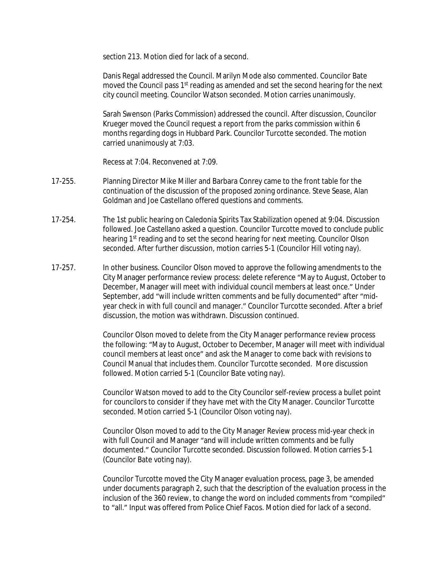section 213. Motion died for lack of a second.

Danis Regal addressed the Council. Marilyn Mode also commented. Councilor Bate moved the Council pass 1<sup>st</sup> reading as amended and set the second hearing for the next city council meeting. Councilor Watson seconded. Motion carries unanimously.

Sarah Swenson (Parks Commission) addressed the council. After discussion, Councilor Krueger moved the Council request a report from the parks commission within 6 months regarding dogs in Hubbard Park. Councilor Turcotte seconded. The motion carried unanimously at 7:03.

Recess at 7:04. Reconvened at 7:09.

- 17-255. Planning Director Mike Miller and Barbara Conrey came to the front table for the continuation of the discussion of the proposed zoning ordinance. Steve Sease, Alan Goldman and Joe Castellano offered questions and comments.
- 17-254. The 1st public hearing on Caledonia Spirits Tax Stabilization opened at 9:04. Discussion followed. Joe Castellano asked a question. Councilor Turcotte moved to conclude public hearing 1<sup>st</sup> reading and to set the second hearing for next meeting. Councilor Olson seconded. After further discussion, motion carries 5-1 (Councilor Hill voting nay).
- 17-257. In other business. Councilor Olson moved to approve the following amendments to the City Manager performance review process: delete reference "May to August, October to December, Manager will meet with individual council members at least once." Under September, add "will include written comments and be fully documented" after "midyear check in with full council and manager." Councilor Turcotte seconded. After a brief discussion, the motion was withdrawn. Discussion continued.

Councilor Olson moved to delete from the City Manager performance review process the following: "May to August, October to December, Manager will meet with individual council members at least once" and ask the Manager to come back with revisions to Council Manual that includes them. Councilor Turcotte seconded. More discussion followed. Motion carried 5-1 (Councilor Bate voting nay).

Councilor Watson moved to add to the City Councilor self-review process a bullet point for councilors to consider if they have met with the City Manager. Councilor Turcotte seconded. Motion carried 5-1 (Councilor Olson voting nay).

Councilor Olson moved to add to the City Manager Review process mid-year check in with full Council and Manager "and will include written comments and be fully documented." Councilor Turcotte seconded. Discussion followed. Motion carries 5-1 (Councilor Bate voting nay).

Councilor Turcotte moved the City Manager evaluation process, page 3, be amended under documents paragraph 2, such that the description of the evaluation process in the inclusion of the 360 review, to change the word on included comments from "compiled" to "all." Input was offered from Police Chief Facos. Motion died for lack of a second.